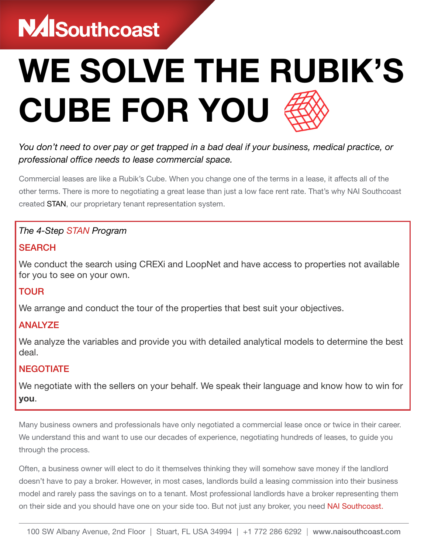# **NAISouthcoast**

# WE SOLVE THE RUBIK'S CUBE FOR YOU

## *You don't need to over pay or get trapped in a bad deal if your business, medical practice, or professional office needs to lease commercial space.*

Commercial leases are like a Rubik's Cube. When you change one of the terms in a lease, it affects all of the other terms. There is more to negotiating a great lease than just a low face rent rate. That's why NAI Southcoast created STAN, our proprietary tenant representation system.

#### *The 4-Step STAN Program*

#### **SEARCH**

We conduct the search using CREXi and LoopNet and have access to properties not available for you to see on your own.

#### TOUR

We arrange and conduct the tour of the properties that best suit your objectives.

### ANALYZE

We analyze the variables and provide you with detailed analytical models to determine the best deal.

#### **NEGOTIATE**

We negotiate with the sellers on your behalf. We speak their language and know how to win for you.

Many business owners and professionals have only negotiated a commercial lease once or twice in their career. We understand this and want to use our decades of experience, negotiating hundreds of leases, to guide you through the process.

Often, a business owner will elect to do it themselves thinking they will somehow save money if the landlord doesn't have to pay a broker. However, in most cases, landlords build a leasing commission into their business model and rarely pass the savings on to a tenant. Most professional landlords have a broker representing them on their side and you should have one on your side too. But not just any broker, you need NAI Southcoast.